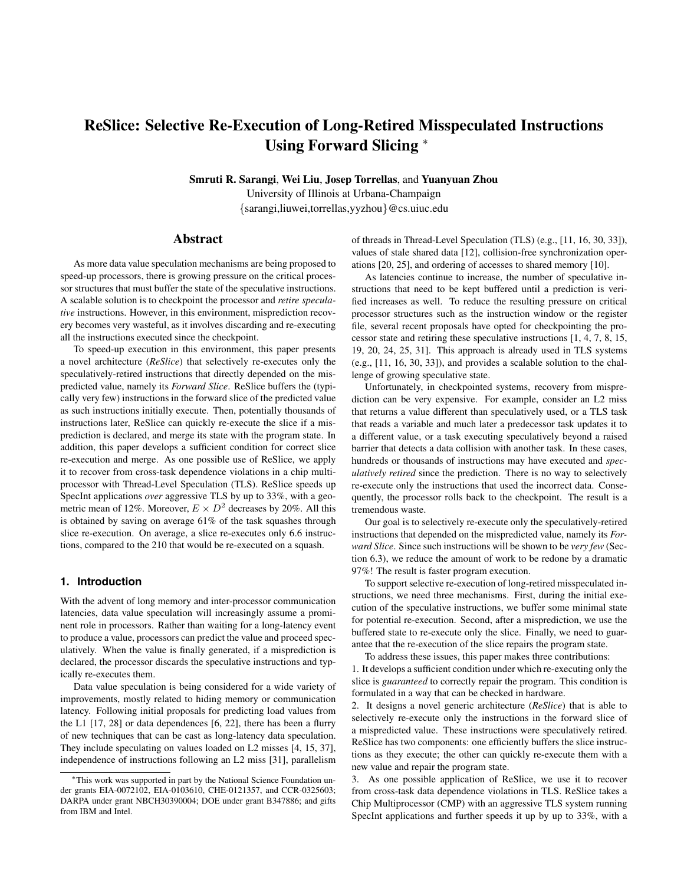# **ReSlice: Selective Re-Execution of Long-Retired Misspeculated Instructions Using Forward Slicing** <sup>∗</sup>

**Smruti R. Sarangi**, **Wei Liu**, **Josep Torrellas**, and **Yuanyuan Zhou**

University of Illinois at Urbana-Champaign {sarangi,liuwei,torrellas,yyzhou}@cs.uiuc.edu

## **Abstract**

As more data value speculation mechanisms are being proposed to speed-up processors, there is growing pressure on the critical processor structures that must buffer the state of the speculative instructions. A scalable solution is to checkpoint the processor and *retire speculative* instructions. However, in this environment, misprediction recovery becomes very wasteful, as it involves discarding and re-executing all the instructions executed since the checkpoint.

To speed-up execution in this environment, this paper presents a novel architecture (*ReSlice*) that selectively re-executes only the speculatively-retired instructions that directly depended on the mispredicted value, namely its *Forward Slice*. ReSlice buffers the (typically very few) instructions in the forward slice of the predicted value as such instructions initially execute. Then, potentially thousands of instructions later, ReSlice can quickly re-execute the slice if a misprediction is declared, and merge its state with the program state. In addition, this paper develops a sufficient condition for correct slice re-execution and merge. As one possible use of ReSlice, we apply it to recover from cross-task dependence violations in a chip multiprocessor with Thread-Level Speculation (TLS). ReSlice speeds up SpecInt applications *over* aggressive TLS by up to 33%, with a geometric mean of 12%. Moreover,  $E \times D^2$  decreases by 20%. All this is obtained by saving on average 61% of the task squashes through slice re-execution. On average, a slice re-executes only 6.6 instructions, compared to the 210 that would be re-executed on a squash.

## **1. Introduction**

With the advent of long memory and inter-processor communication latencies, data value speculation will increasingly assume a prominent role in processors. Rather than waiting for a long-latency event to produce a value, processors can predict the value and proceed speculatively. When the value is finally generated, if a misprediction is declared, the processor discards the speculative instructions and typically re-executes them.

Data value speculation is being considered for a wide variety of improvements, mostly related to hiding memory or communication latency. Following initial proposals for predicting load values from the L1 [17, 28] or data dependences [6, 22], there has been a flurry of new techniques that can be cast as long-latency data speculation. They include speculating on values loaded on L2 misses [4, 15, 37], independence of instructions following an L2 miss [31], parallelism of threads in Thread-Level Speculation (TLS) (e.g., [11, 16, 30, 33]), values of stale shared data [12], collision-free synchronization operations [20, 25], and ordering of accesses to shared memory [10].

As latencies continue to increase, the number of speculative instructions that need to be kept buffered until a prediction is verified increases as well. To reduce the resulting pressure on critical processor structures such as the instruction window or the register file, several recent proposals have opted for checkpointing the processor state and retiring these speculative instructions [1, 4, 7, 8, 15, 19, 20, 24, 25, 31]. This approach is already used in TLS systems (e.g., [11, 16, 30, 33]), and provides a scalable solution to the challenge of growing speculative state.

Unfortunately, in checkpointed systems, recovery from misprediction can be very expensive. For example, consider an L2 miss that returns a value different than speculatively used, or a TLS task that reads a variable and much later a predecessor task updates it to a different value, or a task executing speculatively beyond a raised barrier that detects a data collision with another task. In these cases, hundreds or thousands of instructions may have executed and *speculatively retired* since the prediction. There is no way to selectively re-execute only the instructions that used the incorrect data. Consequently, the processor rolls back to the checkpoint. The result is a tremendous waste.

Our goal is to selectively re-execute only the speculatively-retired instructions that depended on the mispredicted value, namely its *Forward Slice*. Since such instructions will be shown to be *very few* (Section 6.3), we reduce the amount of work to be redone by a dramatic 97%! The result is faster program execution.

To support selective re-execution of long-retired misspeculated instructions, we need three mechanisms. First, during the initial execution of the speculative instructions, we buffer some minimal state for potential re-execution. Second, after a misprediction, we use the buffered state to re-execute only the slice. Finally, we need to guarantee that the re-execution of the slice repairs the program state.

To address these issues, this paper makes three contributions:

1. It develops a sufficient condition under which re-executing only the slice is *guaranteed* to correctly repair the program. This condition is formulated in a way that can be checked in hardware.

2. It designs a novel generic architecture (*ReSlice*) that is able to selectively re-execute only the instructions in the forward slice of a mispredicted value. These instructions were speculatively retired. ReSlice has two components: one efficiently buffers the slice instructions as they execute; the other can quickly re-execute them with a new value and repair the program state.

3. As one possible application of ReSlice, we use it to recover from cross-task data dependence violations in TLS. ReSlice takes a Chip Multiprocessor (CMP) with an aggressive TLS system running SpecInt applications and further speeds it up by up to 33%, with a

<sup>∗</sup>This work was supported in part by the National Science Foundation under grants EIA-0072102, EIA-0103610, CHE-0121357, and CCR-0325603; DARPA under grant NBCH30390004; DOE under grant B347886; and gifts from IBM and Intel.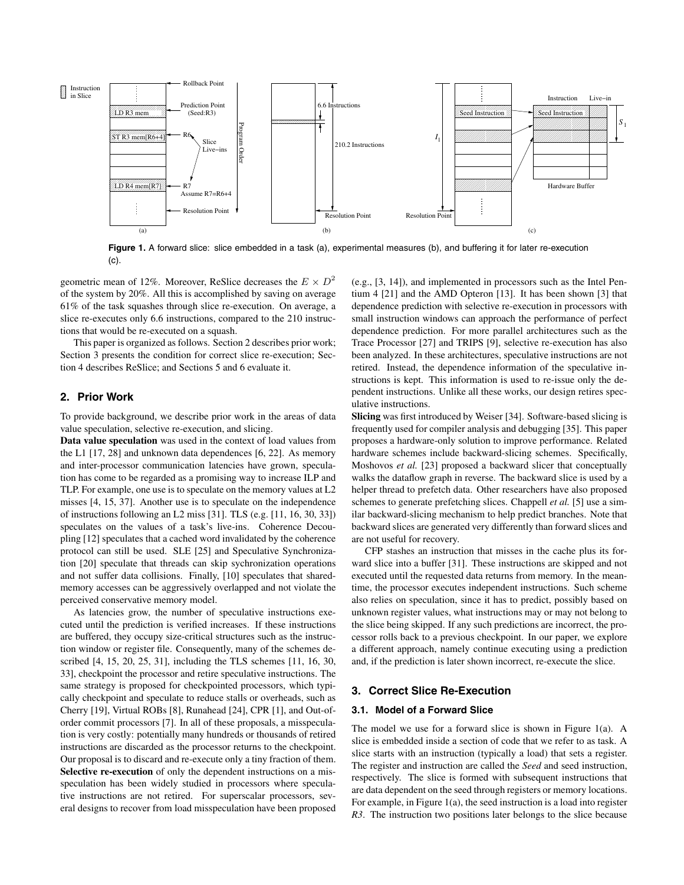

**Figure 1.** A forward slice: slice embedded in a task (a), experimental measures (b), and buffering it for later re-execution (c).

geometric mean of 12%. Moreover, ReSlice decreases the  $E \times D^2$ of the system by 20%. All this is accomplished by saving on average 61% of the task squashes through slice re-execution. On average, a slice re-executes only 6.6 instructions, compared to the 210 instructions that would be re-executed on a squash.

This paper is organized as follows. Section 2 describes prior work; Section 3 presents the condition for correct slice re-execution; Section 4 describes ReSlice; and Sections 5 and 6 evaluate it.

## **2. Prior Work**

To provide background, we describe prior work in the areas of data value speculation, selective re-execution, and slicing.

**Data value speculation** was used in the context of load values from the L1 [17, 28] and unknown data dependences [6, 22]. As memory and inter-processor communication latencies have grown, speculation has come to be regarded as a promising way to increase ILP and TLP. For example, one use is to speculate on the memory values at L2 misses [4, 15, 37]. Another use is to speculate on the independence of instructions following an L2 miss [31]. TLS (e.g. [11, 16, 30, 33]) speculates on the values of a task's live-ins. Coherence Decoupling [12] speculates that a cached word invalidated by the coherence protocol can still be used. SLE [25] and Speculative Synchronization [20] speculate that threads can skip sychronization operations and not suffer data collisions. Finally, [10] speculates that sharedmemory accesses can be aggressively overlapped and not violate the perceived conservative memory model.

As latencies grow, the number of speculative instructions executed until the prediction is verified increases. If these instructions are buffered, they occupy size-critical structures such as the instruction window or register file. Consequently, many of the schemes described [4, 15, 20, 25, 31], including the TLS schemes [11, 16, 30, 33], checkpoint the processor and retire speculative instructions. The same strategy is proposed for checkpointed processors, which typically checkpoint and speculate to reduce stalls or overheads, such as Cherry [19], Virtual ROBs [8], Runahead [24], CPR [1], and Out-oforder commit processors [7]. In all of these proposals, a misspeculation is very costly: potentially many hundreds or thousands of retired instructions are discarded as the processor returns to the checkpoint. Our proposal is to discard and re-execute only a tiny fraction of them. **Selective re-execution** of only the dependent instructions on a misspeculation has been widely studied in processors where speculative instructions are not retired. For superscalar processors, several designs to recover from load misspeculation have been proposed (e.g., [3, 14]), and implemented in processors such as the Intel Pentium 4 [21] and the AMD Opteron [13]. It has been shown [3] that dependence prediction with selective re-execution in processors with small instruction windows can approach the performance of perfect dependence prediction. For more parallel architectures such as the Trace Processor [27] and TRIPS [9], selective re-execution has also been analyzed. In these architectures, speculative instructions are not retired. Instead, the dependence information of the speculative instructions is kept. This information is used to re-issue only the dependent instructions. Unlike all these works, our design retires speculative instructions.

**Slicing** was first introduced by Weiser [34]. Software-based slicing is frequently used for compiler analysis and debugging [35]. This paper proposes a hardware-only solution to improve performance. Related hardware schemes include backward-slicing schemes. Specifically, Moshovos *et al.* [23] proposed a backward slicer that conceptually walks the dataflow graph in reverse. The backward slice is used by a helper thread to prefetch data. Other researchers have also proposed schemes to generate prefetching slices. Chappell *et al.* [5] use a similar backward-slicing mechanism to help predict branches. Note that backward slices are generated very differently than forward slices and are not useful for recovery.

CFP stashes an instruction that misses in the cache plus its forward slice into a buffer [31]. These instructions are skipped and not executed until the requested data returns from memory. In the meantime, the processor executes independent instructions. Such scheme also relies on speculation, since it has to predict, possibly based on unknown register values, what instructions may or may not belong to the slice being skipped. If any such predictions are incorrect, the processor rolls back to a previous checkpoint. In our paper, we explore a different approach, namely continue executing using a prediction and, if the prediction is later shown incorrect, re-execute the slice.

#### **3. Correct Slice Re-Execution**

#### **3.1. Model of a Forward Slice**

The model we use for a forward slice is shown in Figure 1(a). A slice is embedded inside a section of code that we refer to as task. A slice starts with an instruction (typically a load) that sets a register. The register and instruction are called the *Seed* and seed instruction, respectively. The slice is formed with subsequent instructions that are data dependent on the seed through registers or memory locations. For example, in Figure 1(a), the seed instruction is a load into register *R3*. The instruction two positions later belongs to the slice because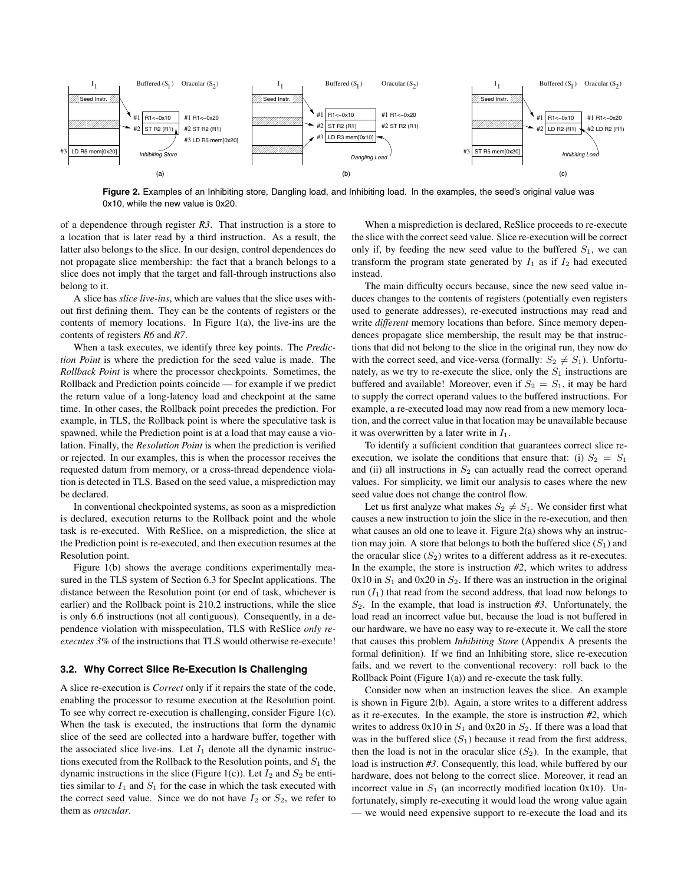

**Figure 2.** Examples of an Inhibiting store, Dangling load, and Inhibiting load. In the examples, the seed's original value was 0x10, while the new value is 0x20.

of a dependence through register *R3*. That instruction is a store to a location that is later read by a third instruction. As a result, the latter also belongs to the slice. In our design, control dependences do not propagate slice membership: the fact that a branch belongs to a slice does not imply that the target and fall-through instructions also belong to it.

A slice has *slice live-ins*, which are values that the slice uses without first defining them. They can be the contents of registers or the contents of memory locations. In Figure  $1(a)$ , the live-ins are the contents of registers *R6* and *R7*.

When a task executes, we identify three key points. The *Prediction Point* is where the prediction for the seed value is made. The *Rollback Point* is where the processor checkpoints. Sometimes, the Rollback and Prediction points coincide — for example if we predict the return value of a long-latency load and checkpoint at the same time. In other cases, the Rollback point precedes the prediction. For example, in TLS, the Rollback point is where the speculative task is spawned, while the Prediction point is at a load that may cause a violation. Finally, the *Resolution Point* is when the prediction is verified or rejected. In our examples, this is when the processor receives the requested datum from memory, or a cross-thread dependence violation is detected in TLS. Based on the seed value, a misprediction may be declared.

In conventional checkpointed systems, as soon as a misprediction is declared, execution returns to the Rollback point and the whole task is re-executed. With ReSlice, on a misprediction, the slice at the Prediction point is re-executed, and then execution resumes at the Resolution point.

Figure 1(b) shows the average conditions experimentally measured in the TLS system of Section 6.3 for SpecInt applications. The distance between the Resolution point (or end of task, whichever is earlier) and the Rollback point is 210.2 instructions, while the slice is only 6.6 instructions (not all contiguous). Consequently, in a dependence violation with misspeculation, TLS with ReSlice *only reexecutes 3%* of the instructions that TLS would otherwise re-execute!

## **3.2. Why Correct Slice Re-Execution Is Challenging**

A slice re-execution is *Correct* only if it repairs the state of the code, enabling the processor to resume execution at the Resolution point. To see why correct re-execution is challenging, consider Figure 1(c). When the task is executed, the instructions that form the dynamic slice of the seed are collected into a hardware buffer, together with the associated slice live-ins. Let  $I_1$  denote all the dynamic instructions executed from the Rollback to the Resolution points, and  $S_1$  the dynamic instructions in the slice (Figure 1(c)). Let  $I_2$  and  $S_2$  be entities similar to  $I_1$  and  $S_1$  for the case in which the task executed with the correct seed value. Since we do not have  $I_2$  or  $S_2$ , we refer to them as *oracular*.

When a misprediction is declared, ReSlice proceeds to re-execute the slice with the correct seed value. Slice re-execution will be correct only if, by feeding the new seed value to the buffered  $S_1$ , we can transform the program state generated by  $I_1$  as if  $I_2$  had executed instead.

The main difficulty occurs because, since the new seed value induces changes to the contents of registers (potentially even registers used to generate addresses), re-executed instructions may read and write *different* memory locations than before. Since memory dependences propagate slice membership, the result may be that instructions that did not belong to the slice in the original run, they now do with the correct seed, and vice-versa (formally:  $S_2 \neq S_1$ ). Unfortunately, as we try to re-execute the slice, only the  $S_1$  instructions are buffered and available! Moreover, even if  $S_2 = S_1$ , it may be hard to supply the correct operand values to the buffered instructions. For example, a re-executed load may now read from a new memory location, and the correct value in that location may be unavailable because it was overwritten by a later write in *I*1.

To identify a sufficient condition that guarantees correct slice reexecution, we isolate the conditions that ensure that: (i)  $S_2 = S_1$ and (ii) all instructions in  $S_2$  can actually read the correct operand values. For simplicity, we limit our analysis to cases where the new seed value does not change the control flow.

Let us first analyze what makes  $S_2 \neq S_1$ . We consider first what causes a new instruction to join the slice in the re-execution, and then what causes an old one to leave it. Figure 2(a) shows why an instruction may join. A store that belongs to both the buffered slice  $(S_1)$  and the oracular slice  $(S_2)$  writes to a different address as it re-executes. In the example, the store is instruction *#2*, which writes to address  $0x10$  in  $S_1$  and  $0x20$  in  $S_2$ . If there was an instruction in the original run  $(I_1)$  that read from the second address, that load now belongs to *S*2. In the example, that load is instruction *#3*. Unfortunately, the load read an incorrect value but, because the load is not buffered in our hardware, we have no easy way to re-execute it. We call the store that causes this problem *Inhibiting Store* (Appendix A presents the formal definition). If we find an Inhibiting store, slice re-execution fails, and we revert to the conventional recovery: roll back to the Rollback Point (Figure 1(a)) and re-execute the task fully.

Consider now when an instruction leaves the slice. An example is shown in Figure 2(b). Again, a store writes to a different address as it re-executes. In the example, the store is instruction *#2*, which writes to address  $0x10$  in  $S_1$  and  $0x20$  in  $S_2$ . If there was a load that was in the buffered slice  $(S_1)$  because it read from the first address, then the load is not in the oracular slice  $(S_2)$ . In the example, that load is instruction *#3*. Consequently, this load, while buffered by our hardware, does not belong to the correct slice. Moreover, it read an incorrect value in  $S_1$  (an incorrectly modified location 0x10). Unfortunately, simply re-executing it would load the wrong value again — we would need expensive support to re-execute the load and its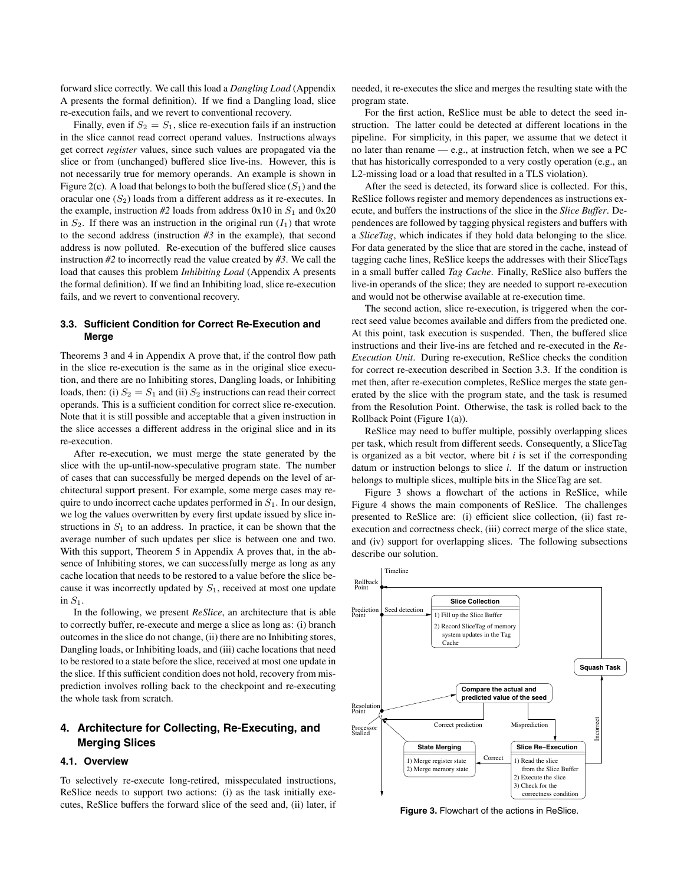forward slice correctly. We call this load a *Dangling Load* (Appendix A presents the formal definition). If we find a Dangling load, slice re-execution fails, and we revert to conventional recovery.

Finally, even if  $S_2 = S_1$ , slice re-execution fails if an instruction in the slice cannot read correct operand values. Instructions always get correct *register* values, since such values are propagated via the slice or from (unchanged) buffered slice live-ins. However, this is not necessarily true for memory operands. An example is shown in Figure 2(c). A load that belongs to both the buffered slice  $(S_1)$  and the oracular one (*S*2) loads from a different address as it re-executes. In the example, instruction  $#2$  loads from address  $0x10$  in  $S_1$  and  $0x20$ in  $S_2$ . If there was an instruction in the original run  $(I_1)$  that wrote to the second address (instruction *#3* in the example), that second address is now polluted. Re-execution of the buffered slice causes instruction *#2* to incorrectly read the value created by *#3*. We call the load that causes this problem *Inhibiting Load* (Appendix A presents the formal definition). If we find an Inhibiting load, slice re-execution fails, and we revert to conventional recovery.

## **3.3. Sufficient Condition for Correct Re-Execution and Merge**

Theorems 3 and 4 in Appendix A prove that, if the control flow path in the slice re-execution is the same as in the original slice execution, and there are no Inhibiting stores, Dangling loads, or Inhibiting loads, then: (i)  $S_2 = S_1$  and (ii)  $S_2$  instructions can read their correct operands. This is a sufficient condition for correct slice re-execution. Note that it is still possible and acceptable that a given instruction in the slice accesses a different address in the original slice and in its re-execution.

After re-execution, we must merge the state generated by the slice with the up-until-now-speculative program state. The number of cases that can successfully be merged depends on the level of architectural support present. For example, some merge cases may require to undo incorrect cache updates performed in *S*1. In our design, we log the values overwritten by every first update issued by slice instructions in  $S_1$  to an address. In practice, it can be shown that the average number of such updates per slice is between one and two. With this support, Theorem 5 in Appendix A proves that, in the absence of Inhibiting stores, we can successfully merge as long as any cache location that needs to be restored to a value before the slice because it was incorrectly updated by *S*1, received at most one update in *S*1.

In the following, we present *ReSlice*, an architecture that is able to correctly buffer, re-execute and merge a slice as long as: (i) branch outcomes in the slice do not change, (ii) there are no Inhibiting stores, Dangling loads, or Inhibiting loads, and (iii) cache locations that need to be restored to a state before the slice, received at most one update in the slice. If this sufficient condition does not hold, recovery from misprediction involves rolling back to the checkpoint and re-executing the whole task from scratch.

## **4. Architecture for Collecting, Re-Executing, and Merging Slices**

## **4.1. Overview**

To selectively re-execute long-retired, misspeculated instructions, ReSlice needs to support two actions: (i) as the task initially executes, ReSlice buffers the forward slice of the seed and, (ii) later, if needed, it re-executes the slice and merges the resulting state with the program state.

For the first action, ReSlice must be able to detect the seed instruction. The latter could be detected at different locations in the pipeline. For simplicity, in this paper, we assume that we detect it no later than rename — e.g., at instruction fetch, when we see a PC that has historically corresponded to a very costly operation (e.g., an L2-missing load or a load that resulted in a TLS violation).

After the seed is detected, its forward slice is collected. For this, ReSlice follows register and memory dependences as instructions execute, and buffers the instructions of the slice in the *Slice Buffer*. Dependences are followed by tagging physical registers and buffers with a *SliceTag*, which indicates if they hold data belonging to the slice. For data generated by the slice that are stored in the cache, instead of tagging cache lines, ReSlice keeps the addresses with their SliceTags in a small buffer called *Tag Cache*. Finally, ReSlice also buffers the live-in operands of the slice; they are needed to support re-execution and would not be otherwise available at re-execution time.

The second action, slice re-execution, is triggered when the correct seed value becomes available and differs from the predicted one. At this point, task execution is suspended. Then, the buffered slice instructions and their live-ins are fetched and re-executed in the *Re-Execution Unit*. During re-execution, ReSlice checks the condition for correct re-execution described in Section 3.3. If the condition is met then, after re-execution completes, ReSlice merges the state generated by the slice with the program state, and the task is resumed from the Resolution Point. Otherwise, the task is rolled back to the Rollback Point (Figure 1(a)).

ReSlice may need to buffer multiple, possibly overlapping slices per task, which result from different seeds. Consequently, a SliceTag is organized as a bit vector, where bit *i* is set if the corresponding datum or instruction belongs to slice *i*. If the datum or instruction belongs to multiple slices, multiple bits in the SliceTag are set.

Figure 3 shows a flowchart of the actions in ReSlice, while Figure 4 shows the main components of ReSlice. The challenges presented to ReSlice are: (i) efficient slice collection, (ii) fast reexecution and correctness check, (iii) correct merge of the slice state, and (iv) support for overlapping slices. The following subsections describe our solution.



**Figure 3.** Flowchart of the actions in ReSlice.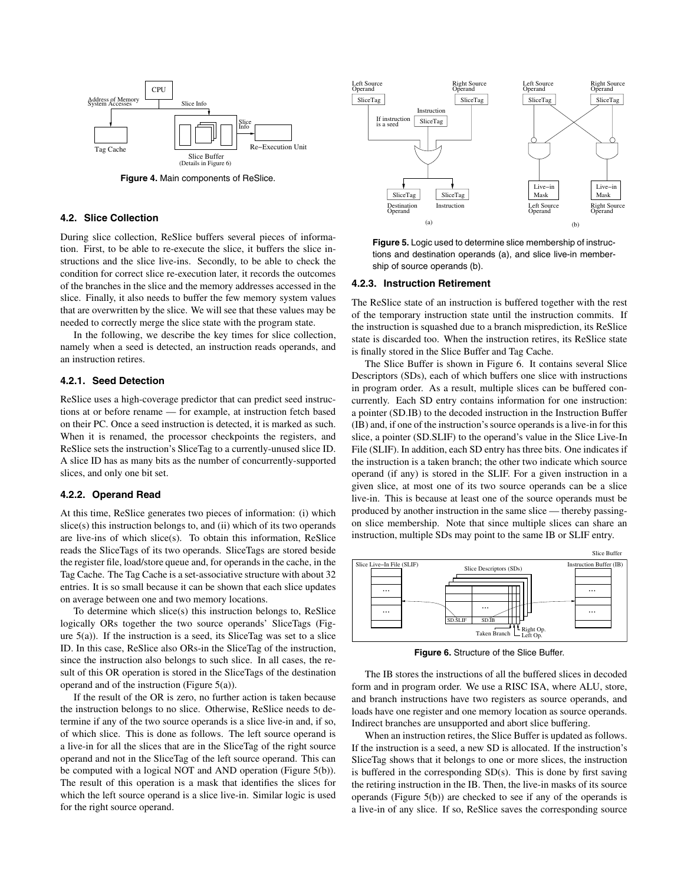

**Figure 4.** Main components of ReSlice.

## **4.2. Slice Collection**

During slice collection, ReSlice buffers several pieces of information. First, to be able to re-execute the slice, it buffers the slice instructions and the slice live-ins. Secondly, to be able to check the condition for correct slice re-execution later, it records the outcomes of the branches in the slice and the memory addresses accessed in the slice. Finally, it also needs to buffer the few memory system values that are overwritten by the slice. We will see that these values may be needed to correctly merge the slice state with the program state.

In the following, we describe the key times for slice collection, namely when a seed is detected, an instruction reads operands, and an instruction retires.

## **4.2.1. Seed Detection**

ReSlice uses a high-coverage predictor that can predict seed instructions at or before rename — for example, at instruction fetch based on their PC. Once a seed instruction is detected, it is marked as such. When it is renamed, the processor checkpoints the registers, and ReSlice sets the instruction's SliceTag to a currently-unused slice ID. A slice ID has as many bits as the number of concurrently-supported slices, and only one bit set.

#### **4.2.2. Operand Read**

At this time, ReSlice generates two pieces of information: (i) which slice(s) this instruction belongs to, and (ii) which of its two operands are live-ins of which slice(s). To obtain this information, ReSlice reads the SliceTags of its two operands. SliceTags are stored beside the register file, load/store queue and, for operands in the cache, in the Tag Cache. The Tag Cache is a set-associative structure with about 32 entries. It is so small because it can be shown that each slice updates on average between one and two memory locations.

To determine which slice(s) this instruction belongs to, ReSlice logically ORs together the two source operands' SliceTags (Figure  $5(a)$ ). If the instruction is a seed, its SliceTag was set to a slice ID. In this case, ReSlice also ORs-in the SliceTag of the instruction, since the instruction also belongs to such slice. In all cases, the result of this OR operation is stored in the SliceTags of the destination operand and of the instruction (Figure 5(a)).

If the result of the OR is zero, no further action is taken because the instruction belongs to no slice. Otherwise, ReSlice needs to determine if any of the two source operands is a slice live-in and, if so, of which slice. This is done as follows. The left source operand is a live-in for all the slices that are in the SliceTag of the right source operand and not in the SliceTag of the left source operand. This can be computed with a logical NOT and AND operation (Figure 5(b)). The result of this operation is a mask that identifies the slices for which the left source operand is a slice live-in. Similar logic is used for the right source operand.



**Figure 5.** Logic used to determine slice membership of instructions and destination operands (a), and slice live-in membership of source operands (b).

### **4.2.3. Instruction Retirement**

The ReSlice state of an instruction is buffered together with the rest of the temporary instruction state until the instruction commits. If the instruction is squashed due to a branch misprediction, its ReSlice state is discarded too. When the instruction retires, its ReSlice state is finally stored in the Slice Buffer and Tag Cache.

The Slice Buffer is shown in Figure 6. It contains several Slice Descriptors (SDs), each of which buffers one slice with instructions in program order. As a result, multiple slices can be buffered concurrently. Each SD entry contains information for one instruction: a pointer (SD.IB) to the decoded instruction in the Instruction Buffer (IB) and, if one of the instruction's source operands is a live-in for this slice, a pointer (SD.SLIF) to the operand's value in the Slice Live-In File (SLIF). In addition, each SD entry has three bits. One indicates if the instruction is a taken branch; the other two indicate which source operand (if any) is stored in the SLIF. For a given instruction in a given slice, at most one of its two source operands can be a slice live-in. This is because at least one of the source operands must be produced by another instruction in the same slice — thereby passingon slice membership. Note that since multiple slices can share an instruction, multiple SDs may point to the same IB or SLIF entry.



**Figure 6.** Structure of the Slice Buffer.

The IB stores the instructions of all the buffered slices in decoded form and in program order. We use a RISC ISA, where ALU, store, and branch instructions have two registers as source operands, and loads have one register and one memory location as source operands. Indirect branches are unsupported and abort slice buffering.

When an instruction retires, the Slice Buffer is updated as follows. If the instruction is a seed, a new SD is allocated. If the instruction's SliceTag shows that it belongs to one or more slices, the instruction is buffered in the corresponding SD(s). This is done by first saving the retiring instruction in the IB. Then, the live-in masks of its source operands (Figure 5(b)) are checked to see if any of the operands is a live-in of any slice. If so, ReSlice saves the corresponding source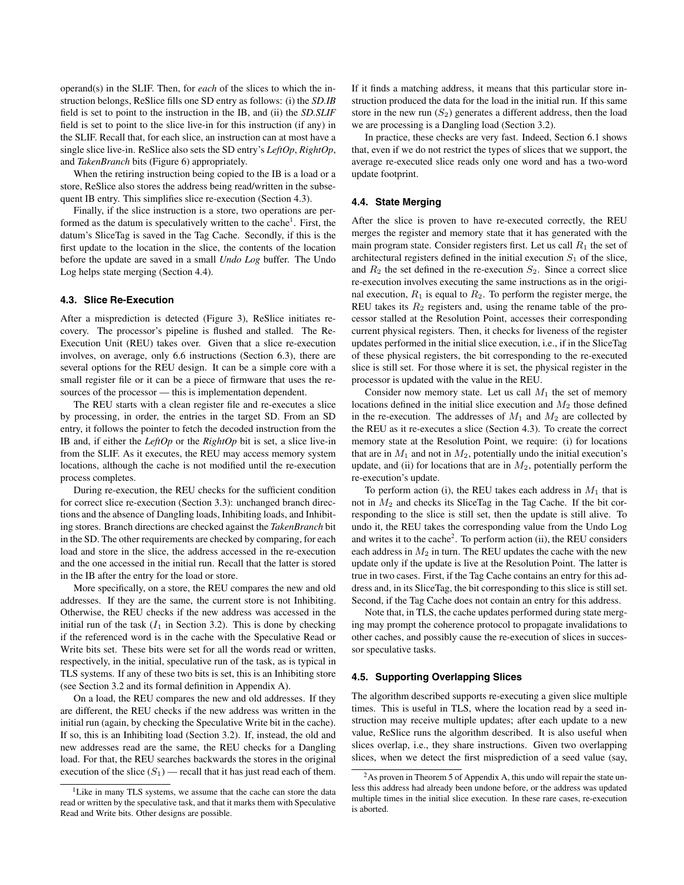operand(s) in the SLIF. Then, for *each* of the slices to which the instruction belongs, ReSlice fills one SD entry as follows: (i) the *SD.IB* field is set to point to the instruction in the IB, and (ii) the *SD.SLIF* field is set to point to the slice live-in for this instruction (if any) in the SLIF. Recall that, for each slice, an instruction can at most have a single slice live-in. ReSlice also sets the SD entry's *LeftOp*, *RightOp*, and *TakenBranch* bits (Figure 6) appropriately.

When the retiring instruction being copied to the IB is a load or a store, ReSlice also stores the address being read/written in the subsequent IB entry. This simplifies slice re-execution (Section 4.3).

Finally, if the slice instruction is a store, two operations are performed as the datum is speculatively written to the cache<sup>1</sup>. First, the datum's SliceTag is saved in the Tag Cache. Secondly, if this is the first update to the location in the slice, the contents of the location before the update are saved in a small *Undo Log* buffer. The Undo Log helps state merging (Section 4.4).

## **4.3. Slice Re-Execution**

After a misprediction is detected (Figure 3), ReSlice initiates recovery. The processor's pipeline is flushed and stalled. The Re-Execution Unit (REU) takes over. Given that a slice re-execution involves, on average, only 6.6 instructions (Section 6.3), there are several options for the REU design. It can be a simple core with a small register file or it can be a piece of firmware that uses the resources of the processor — this is implementation dependent.

The REU starts with a clean register file and re-executes a slice by processing, in order, the entries in the target SD. From an SD entry, it follows the pointer to fetch the decoded instruction from the IB and, if either the *LeftOp* or the *RightOp* bit is set, a slice live-in from the SLIF. As it executes, the REU may access memory system locations, although the cache is not modified until the re-execution process completes.

During re-execution, the REU checks for the sufficient condition for correct slice re-execution (Section 3.3): unchanged branch directions and the absence of Dangling loads, Inhibiting loads, and Inhibiting stores. Branch directions are checked against the *TakenBranch* bit in the SD. The other requirements are checked by comparing, for each load and store in the slice, the address accessed in the re-execution and the one accessed in the initial run. Recall that the latter is stored in the IB after the entry for the load or store.

More specifically, on a store, the REU compares the new and old addresses. If they are the same, the current store is not Inhibiting. Otherwise, the REU checks if the new address was accessed in the initial run of the task  $(I_1$  in Section 3.2). This is done by checking if the referenced word is in the cache with the Speculative Read or Write bits set. These bits were set for all the words read or written, respectively, in the initial, speculative run of the task, as is typical in TLS systems. If any of these two bits is set, this is an Inhibiting store (see Section 3.2 and its formal definition in Appendix A).

On a load, the REU compares the new and old addresses. If they are different, the REU checks if the new address was written in the initial run (again, by checking the Speculative Write bit in the cache). If so, this is an Inhibiting load (Section 3.2). If, instead, the old and new addresses read are the same, the REU checks for a Dangling load. For that, the REU searches backwards the stores in the original execution of the slice  $(S_1)$  — recall that it has just read each of them. If it finds a matching address, it means that this particular store instruction produced the data for the load in the initial run. If this same store in the new run  $(S_2)$  generates a different address, then the load we are processing is a Dangling load (Section 3.2).

In practice, these checks are very fast. Indeed, Section 6.1 shows that, even if we do not restrict the types of slices that we support, the average re-executed slice reads only one word and has a two-word update footprint.

## **4.4. State Merging**

After the slice is proven to have re-executed correctly, the REU merges the register and memory state that it has generated with the main program state. Consider registers first. Let us call  $R_1$  the set of architectural registers defined in the initial execution  $S_1$  of the slice, and  $R_2$  the set defined in the re-execution  $S_2$ . Since a correct slice re-execution involves executing the same instructions as in the original execution,  $R_1$  is equal to  $R_2$ . To perform the register merge, the REU takes its  $R_2$  registers and, using the rename table of the processor stalled at the Resolution Point, accesses their corresponding current physical registers. Then, it checks for liveness of the register updates performed in the initial slice execution, i.e., if in the SliceTag of these physical registers, the bit corresponding to the re-executed slice is still set. For those where it is set, the physical register in the processor is updated with the value in the REU.

Consider now memory state. Let us call  $M_1$  the set of memory locations defined in the initial slice execution and *M*<sup>2</sup> those defined in the re-execution. The addresses of  $M_1$  and  $M_2$  are collected by the REU as it re-executes a slice (Section 4.3). To create the correct memory state at the Resolution Point, we require: (i) for locations that are in  $M_1$  and not in  $M_2$ , potentially undo the initial execution's update, and (ii) for locations that are in  $M_2$ , potentially perform the re-execution's update.

To perform action (i), the REU takes each address in *M*<sup>1</sup> that is not in *M*<sup>2</sup> and checks its SliceTag in the Tag Cache. If the bit corresponding to the slice is still set, then the update is still alive. To undo it, the REU takes the corresponding value from the Undo Log and writes it to the cache<sup>2</sup>. To perform action (ii), the REU considers each address in  $M_2$  in turn. The REU updates the cache with the new update only if the update is live at the Resolution Point. The latter is true in two cases. First, if the Tag Cache contains an entry for this address and, in its SliceTag, the bit corresponding to this slice is still set. Second, if the Tag Cache does not contain an entry for this address.

Note that, in TLS, the cache updates performed during state merging may prompt the coherence protocol to propagate invalidations to other caches, and possibly cause the re-execution of slices in successor speculative tasks.

#### **4.5. Supporting Overlapping Slices**

The algorithm described supports re-executing a given slice multiple times. This is useful in TLS, where the location read by a seed instruction may receive multiple updates; after each update to a new value, ReSlice runs the algorithm described. It is also useful when slices overlap, i.e., they share instructions. Given two overlapping slices, when we detect the first misprediction of a seed value (say,

<sup>&</sup>lt;sup>1</sup>Like in many TLS systems, we assume that the cache can store the data read or written by the speculative task, and that it marks them with Speculative Read and Write bits. Other designs are possible.

<sup>&</sup>lt;sup>2</sup>As proven in Theorem 5 of Appendix A, this undo will repair the state unless this address had already been undone before, or the address was updated multiple times in the initial slice execution. In these rare cases, re-execution is aborted.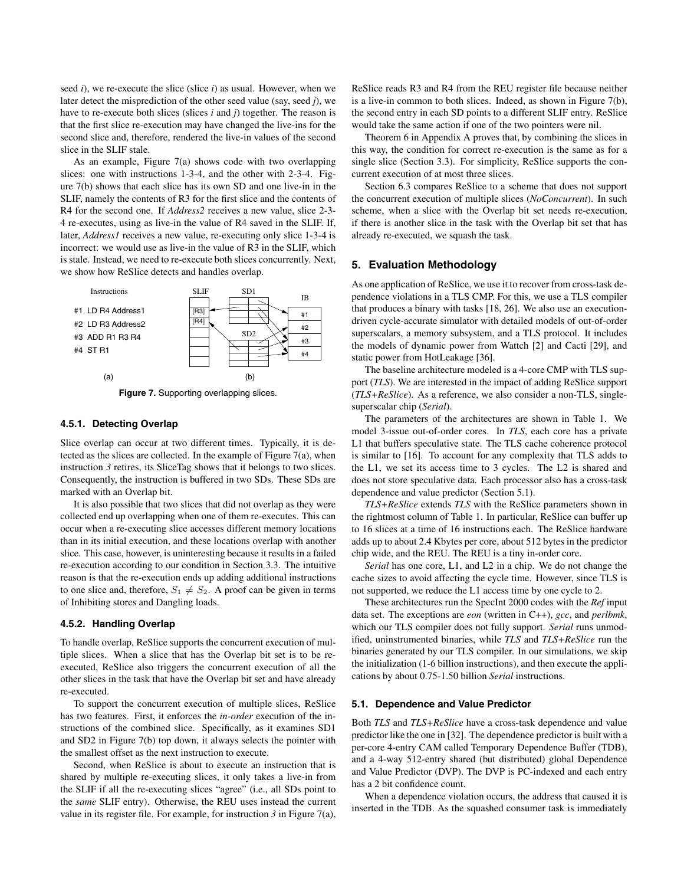seed *i*), we re-execute the slice (slice *i*) as usual. However, when we later detect the misprediction of the other seed value (say, seed *j*), we have to re-execute both slices (slices *i* and *j*) together. The reason is that the first slice re-execution may have changed the live-ins for the second slice and, therefore, rendered the live-in values of the second slice in the SLIF stale.

As an example, Figure 7(a) shows code with two overlapping slices: one with instructions 1-3-4, and the other with 2-3-4. Figure 7(b) shows that each slice has its own SD and one live-in in the SLIF, namely the contents of R3 for the first slice and the contents of R4 for the second one. If *Address2* receives a new value, slice 2-3- 4 re-executes, using as live-in the value of R4 saved in the SLIF. If, later, *Address1* receives a new value, re-executing only slice 1-3-4 is incorrect: we would use as live-in the value of R3 in the SLIF, which is stale. Instead, we need to re-execute both slices concurrently. Next, we show how ReSlice detects and handles overlap.



#### **4.5.1. Detecting Overlap**

Slice overlap can occur at two different times. Typically, it is detected as the slices are collected. In the example of Figure 7(a), when instruction *3* retires, its SliceTag shows that it belongs to two slices. Consequently, the instruction is buffered in two SDs. These SDs are marked with an Overlap bit.

It is also possible that two slices that did not overlap as they were collected end up overlapping when one of them re-executes. This can occur when a re-executing slice accesses different memory locations than in its initial execution, and these locations overlap with another slice. This case, however, is uninteresting because it results in a failed re-execution according to our condition in Section 3.3. The intuitive reason is that the re-execution ends up adding additional instructions to one slice and, therefore,  $S_1 \neq S_2$ . A proof can be given in terms of Inhibiting stores and Dangling loads.

#### **4.5.2. Handling Overlap**

To handle overlap, ReSlice supports the concurrent execution of multiple slices. When a slice that has the Overlap bit set is to be reexecuted, ReSlice also triggers the concurrent execution of all the other slices in the task that have the Overlap bit set and have already re-executed.

To support the concurrent execution of multiple slices, ReSlice has two features. First, it enforces the *in-order* execution of the instructions of the combined slice. Specifically, as it examines SD1 and SD2 in Figure 7(b) top down, it always selects the pointer with the smallest offset as the next instruction to execute.

Second, when ReSlice is about to execute an instruction that is shared by multiple re-executing slices, it only takes a live-in from the SLIF if all the re-executing slices "agree" (i.e., all SDs point to the *same* SLIF entry). Otherwise, the REU uses instead the current value in its register file. For example, for instruction *3* in Figure 7(a),

ReSlice reads R3 and R4 from the REU register file because neither is a live-in common to both slices. Indeed, as shown in Figure 7(b), the second entry in each SD points to a different SLIF entry. ReSlice would take the same action if one of the two pointers were nil.

Theorem 6 in Appendix A proves that, by combining the slices in this way, the condition for correct re-execution is the same as for a single slice (Section 3.3). For simplicity, ReSlice supports the concurrent execution of at most three slices.

Section 6.3 compares ReSlice to a scheme that does not support the concurrent execution of multiple slices (*NoConcurrent*). In such scheme, when a slice with the Overlap bit set needs re-execution, if there is another slice in the task with the Overlap bit set that has already re-executed, we squash the task.

## **5. Evaluation Methodology**

As one application of ReSlice, we use it to recover from cross-task dependence violations in a TLS CMP. For this, we use a TLS compiler that produces a binary with tasks [18, 26]. We also use an executiondriven cycle-accurate simulator with detailed models of out-of-order superscalars, a memory subsystem, and a TLS protocol. It includes the models of dynamic power from Wattch [2] and Cacti [29], and static power from HotLeakage [36].

The baseline architecture modeled is a 4-core CMP with TLS support (*TLS*). We are interested in the impact of adding ReSlice support (*TLS+ReSlice*). As a reference, we also consider a non-TLS, singlesuperscalar chip (*Serial*).

The parameters of the architectures are shown in Table 1. We model 3-issue out-of-order cores. In *TLS*, each core has a private L1 that buffers speculative state. The TLS cache coherence protocol is similar to [16]. To account for any complexity that TLS adds to the L1, we set its access time to 3 cycles. The L2 is shared and does not store speculative data. Each processor also has a cross-task dependence and value predictor (Section 5.1).

*TLS+ReSlice* extends *TLS* with the ReSlice parameters shown in the rightmost column of Table 1. In particular, ReSlice can buffer up to 16 slices at a time of 16 instructions each. The ReSlice hardware adds up to about 2.4 Kbytes per core, about 512 bytes in the predictor chip wide, and the REU. The REU is a tiny in-order core.

*Serial* has one core, L1, and L2 in a chip. We do not change the cache sizes to avoid affecting the cycle time. However, since TLS is not supported, we reduce the L1 access time by one cycle to 2.

These architectures run the SpecInt 2000 codes with the *Ref* input data set. The exceptions are *eon* (written in C++), *gcc*, and *perlbmk*, which our TLS compiler does not fully support. *Serial* runs unmodified, uninstrumented binaries, while *TLS* and *TLS+ReSlice* run the binaries generated by our TLS compiler. In our simulations, we skip the initialization (1-6 billion instructions), and then execute the applications by about 0.75-1.50 billion *Serial* instructions.

#### **5.1. Dependence and Value Predictor**

Both *TLS* and *TLS+ReSlice* have a cross-task dependence and value predictor like the one in [32]. The dependence predictor is built with a per-core 4-entry CAM called Temporary Dependence Buffer (TDB), and a 4-way 512-entry shared (but distributed) global Dependence and Value Predictor (DVP). The DVP is PC-indexed and each entry has a 2 bit confidence count.

When a dependence violation occurs, the address that caused it is inserted in the TDB. As the squashed consumer task is immediately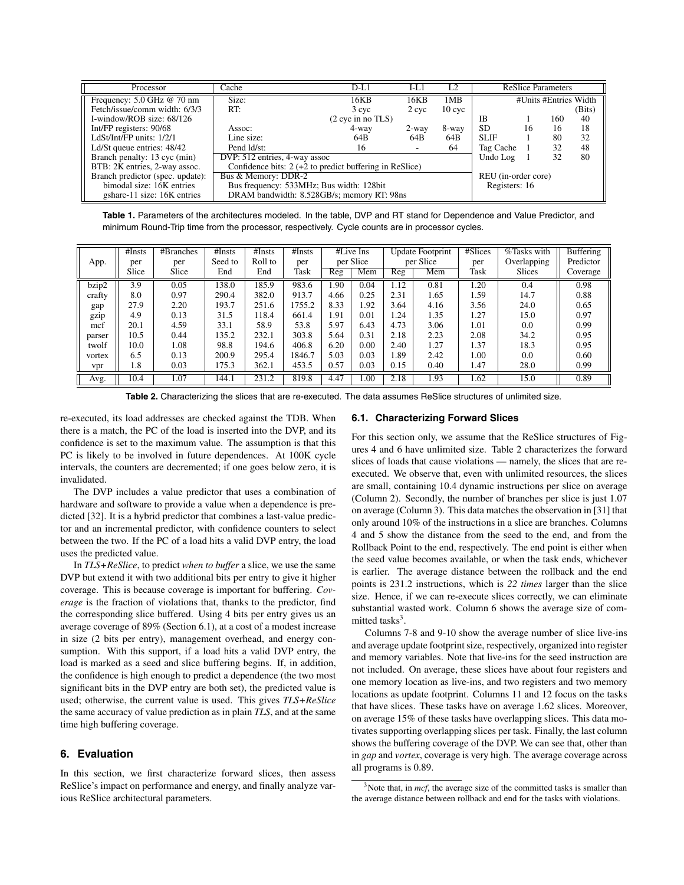| Processor                        | Cache                                                      | $D-I.1$                     | I-L1  | L2                |                     |    | <b>ReSlice Parameters</b> |        |
|----------------------------------|------------------------------------------------------------|-----------------------------|-------|-------------------|---------------------|----|---------------------------|--------|
| Frequency: 5.0 GHz @ 70 nm       | Size:                                                      | 16KB                        | 16KB  | 1MB               |                     |    | #Units #Entries Width     |        |
| Fetch/issue/comm width: 6/3/3    | RT:                                                        | 3 cyc                       | 2 cyc | 10 <sub>cvc</sub> |                     |    |                           | (Bits) |
| I-window/ROB size: 68/126        |                                                            | $(2 \text{ cyc in no TLS})$ |       |                   | ΙB                  |    | 160                       | 40     |
| Int/FP registers: 90/68          | Assoc:                                                     | 4-way                       | 2-way | 8-way             | <b>SD</b>           | 16 | 16                        | 18     |
| LdSt/Int/FP units: 1/2/1         | Line size:                                                 | 64B                         | 64B   | 64B               | <b>SLIF</b>         |    | 80                        | 32     |
| Ld/St queue entries: 48/42       | Pend Id/st:                                                | 16                          |       | 64                | Tag Cache           |    | 32                        | 48     |
| Branch penalty: 13 cyc (min)     | DVP: 512 entries, 4-way assoc                              |                             |       |                   | Undo Log            |    | 32                        | 80     |
| BTB: 2K entries, 2-way assoc.    | Confidence bits: $2 (+2)$ to predict buffering in ReSlice) |                             |       |                   |                     |    |                           |        |
| Branch predictor (spec. update): | Bus & Memory: DDR-2                                        |                             |       |                   | REU (in-order core) |    |                           |        |
| bimodal size: 16K entries        | Bus frequency: 533MHz; Bus width: 128bit                   |                             |       |                   | Registers: 16       |    |                           |        |
| gshare-11 size: 16K entries      | DRAM bandwidth: 8.528GB/s; memory RT: 98ns                 |                             |       |                   |                     |    |                           |        |

**Table 1.** Parameters of the architectures modeled. In the table, DVP and RT stand for Dependence and Value Predictor, and minimum Round-Trip time from the processor, respectively. Cycle counts are in processor cycles.

| App.   | #Insts<br>per | #Branches<br>per | #Insts<br>Seed to | #Insts<br>Roll to | #Insts<br>per |      | #Live Ins<br>per Slice | <b>Update Footprint</b><br>per Slice |      | #Slices<br>per | %Tasks with<br>Overlapping | Buffering<br>Predictor |
|--------|---------------|------------------|-------------------|-------------------|---------------|------|------------------------|--------------------------------------|------|----------------|----------------------------|------------------------|
|        | Slice         | Slice            | End               | End               | Task          | Reg  | Mem                    | Reg                                  | Mem  | Task           | <b>Slices</b>              | Coverage               |
| bzip2  | 3.9           | 0.05             | 138.0             | 185.9             | 983.6         | .90  | 0.04                   | 1.12                                 | 0.81 | 1.20           | 0.4                        | 0.98                   |
| crafty | 8.0           | 0.97             | 290.4             | 382.0             | 913.7         | 4.66 | 0.25                   | 2.31                                 | 1.65 | 1.59           | 14.7                       | 0.88                   |
| gap    | 27.9          | 2.20             | 193.7             | 251.6             | 1755.2        | 8.33 | 1.92                   | 3.64                                 | 4.16 | 3.56           | 24.0                       | 0.65                   |
| gzip   | 4.9           | 0.13             | 31.5              | 118.4             | 661.4         | 1.91 | 0.01                   | 1.24                                 | 1.35 | 1.27           | 15.0                       | 0.97                   |
| mcf    | 20.1          | 4.59             | 33.1              | 58.9              | 53.8          | 5.97 | 6.43                   | 4.73                                 | 3.06 | 1.01           | 0.0                        | 0.99                   |
| parser | 10.5          | 0.44             | 135.2             | 232.1             | 303.8         | 5.64 | 0.31                   | 2.18                                 | 2.23 | 2.08           | 34.2                       | 0.95                   |
| twolf  | 10.0          | 1.08             | 98.8              | 194.6             | 406.8         | 6.20 | 0.00                   | 2.40                                 | 1.27 | 1.37           | 18.3                       | 0.95                   |
| vortex | 6.5           | 0.13             | 200.9             | 295.4             | 1846.7        | 5.03 | 0.03                   | 1.89                                 | 2.42 | 1.00           | 0.0                        | 0.60                   |
| vpr    | 1.8           | 0.03             | 175.3             | 362.1             | 453.5         | 0.57 | 0.03                   | 0.15                                 | 0.40 | 1.47           | 28.0                       | 0.99                   |
| Avg.   | 10.4          | 1.07             | 144.1             | 231.2             | 819.8         | 4.47 | 1.00                   | 2.18                                 | 1.93 | 1.62           | 15.0                       | 0.89                   |

**Table 2.** Characterizing the slices that are re-executed. The data assumes ReSlice structures of unlimited size.

re-executed, its load addresses are checked against the TDB. When there is a match, the PC of the load is inserted into the DVP, and its confidence is set to the maximum value. The assumption is that this PC is likely to be involved in future dependences. At 100K cycle intervals, the counters are decremented; if one goes below zero, it is invalidated.

The DVP includes a value predictor that uses a combination of hardware and software to provide a value when a dependence is predicted [32]. It is a hybrid predictor that combines a last-value predictor and an incremental predictor, with confidence counters to select between the two. If the PC of a load hits a valid DVP entry, the load uses the predicted value.

In *TLS+ReSlice*, to predict *when to buffer* a slice, we use the same DVP but extend it with two additional bits per entry to give it higher coverage. This is because coverage is important for buffering. *Coverage* is the fraction of violations that, thanks to the predictor, find the corresponding slice buffered. Using 4 bits per entry gives us an average coverage of 89% (Section 6.1), at a cost of a modest increase in size (2 bits per entry), management overhead, and energy consumption. With this support, if a load hits a valid DVP entry, the load is marked as a seed and slice buffering begins. If, in addition, the confidence is high enough to predict a dependence (the two most significant bits in the DVP entry are both set), the predicted value is used; otherwise, the current value is used. This gives *TLS+ReSlice* the same accuracy of value prediction as in plain *TLS*, and at the same time high buffering coverage.

## **6. Evaluation**

In this section, we first characterize forward slices, then assess ReSlice's impact on performance and energy, and finally analyze various ReSlice architectural parameters.

#### **6.1. Characterizing Forward Slices**

For this section only, we assume that the ReSlice structures of Figures 4 and 6 have unlimited size. Table 2 characterizes the forward slices of loads that cause violations — namely, the slices that are reexecuted. We observe that, even with unlimited resources, the slices are small, containing 10.4 dynamic instructions per slice on average (Column 2). Secondly, the number of branches per slice is just 1.07 on average (Column 3). This data matches the observation in [31] that only around 10% of the instructions in a slice are branches. Columns 4 and 5 show the distance from the seed to the end, and from the Rollback Point to the end, respectively. The end point is either when the seed value becomes available, or when the task ends, whichever is earlier. The average distance between the rollback and the end points is 231.2 instructions, which is *22 times* larger than the slice size. Hence, if we can re-execute slices correctly, we can eliminate substantial wasted work. Column 6 shows the average size of committed tasks<sup>3</sup>.

Columns 7-8 and 9-10 show the average number of slice live-ins and average update footprint size, respectively, organized into register and memory variables. Note that live-ins for the seed instruction are not included. On average, these slices have about four registers and one memory location as live-ins, and two registers and two memory locations as update footprint. Columns 11 and 12 focus on the tasks that have slices. These tasks have on average 1.62 slices. Moreover, on average 15% of these tasks have overlapping slices. This data motivates supporting overlapping slices per task. Finally, the last column shows the buffering coverage of the DVP. We can see that, other than in *gap* and *vortex*, coverage is very high. The average coverage across all programs is 0.89.

<sup>&</sup>lt;sup>3</sup>Note that, in *mcf*, the average size of the committed tasks is smaller than the average distance between rollback and end for the tasks with violations.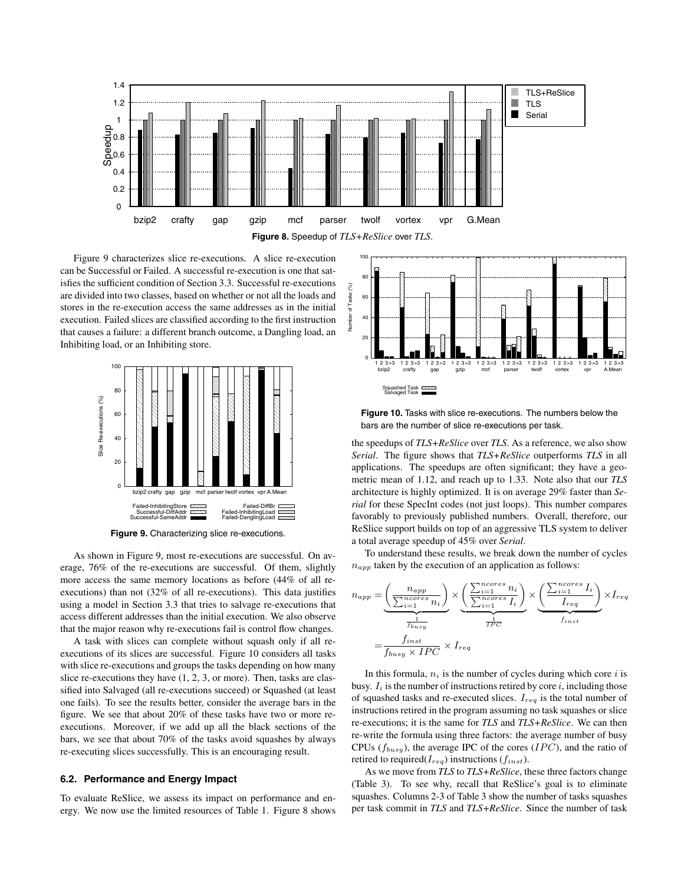

Figure 9 characterizes slice re-executions. A slice re-execution can be Successful or Failed. A successful re-execution is one that satisfies the sufficient condition of Section 3.3. Successful re-executions are divided into two classes, based on whether or not all the loads and stores in the re-execution access the same addresses as in the initial execution. Failed slices are classified according to the first instruction that causes a failure: a different branch outcome, a Dangling load, an Inhibiting load, or an Inhibiting store.



**Figure 9.** Characterizing slice re-executions.

As shown in Figure 9, most re-executions are successful. On average, 76% of the re-executions are successful. Of them, slightly more access the same memory locations as before (44% of all reexecutions) than not (32% of all re-executions). This data justifies using a model in Section 3.3 that tries to salvage re-executions that access different addresses than the initial execution. We also observe that the major reason why re-executions fail is control flow changes.

A task with slices can complete without squash only if all reexecutions of its slices are successful. Figure 10 considers all tasks with slice re-executions and groups the tasks depending on how many slice re-executions they have (1, 2, 3, or more). Then, tasks are classified into Salvaged (all re-executions succeed) or Squashed (at least one fails). To see the results better, consider the average bars in the figure. We see that about 20% of these tasks have two or more reexecutions. Moreover, if we add up all the black sections of the bars, we see that about 70% of the tasks avoid squashes by always re-executing slices successfully. This is an encouraging result.

## **6.2. Performance and Energy Impact**

To evaluate ReSlice, we assess its impact on performance and energy. We now use the limited resources of Table 1. Figure 8 shows



**Figure 10.** Tasks with slice re-executions. The numbers below the bars are the number of slice re-executions per task.

the speedups of *TLS+ReSlice* over *TLS*. As a reference, we also show *Serial*. The figure shows that *TLS+ReSlice* outperforms *TLS* in all applications. The speedups are often significant; they have a geometric mean of 1.12, and reach up to 1.33. Note also that our *TLS* architecture is highly optimized. It is on average 29% faster than *Serial* for these SpecInt codes (not just loops). This number compares favorably to previously published numbers. Overall, therefore, our ReSlice support builds on top of an aggressive TLS system to deliver a total average speedup of 45% over *Serial*.

To understand these results, we break down the number of cycles  $n_{app}$  taken by the execution of an application as follows:

$$
n_{app} = \underbrace{\left(\frac{n_{app}}{\sum_{i=1}^{ncores} n_i}\right)}_{\substack{I_{busy} \\ \overline{f}_{busy}}} \times \underbrace{\left(\frac{\sum_{i=1}^{ncores} n_i}{\sum_{i=1}^{ncores} I_i}\right)}_{\substack{I_{c}} \overline{f}_{\substack{I_{c} \\ \overline{f}_{c}}}} \times I_{req} \times I_{req}
$$
\n
$$
= \underbrace{\frac{f_{inst}}{f_{busy}} \times I_{req}}_{\substack{I_{c} \\ \overline{f}_{c}} \times I_{req}}
$$

In this formula,  $n_i$  is the number of cycles during which core  $i$  is busy.  $I_i$  is the number of instructions retired by core  $i$ , including those of squashed tasks and re-executed slices. *Ireq* is the total number of instructions retired in the program assuming no task squashes or slice re-executions; it is the same for *TLS* and *TLS+ReSlice*. We can then re-write the formula using three factors: the average number of busy CPUs (*fbusy*), the average IPC of the cores (*IPC*), and the ratio of retired to required(*Ireq*) instructions (*finst*).

As we move from *TLS* to *TLS+ReSlice*, these three factors change (Table 3). To see why, recall that ReSlice's goal is to eliminate squashes. Columns 2-3 of Table 3 show the number of tasks squashes per task commit in *TLS* and *TLS+ReSlice*. Since the number of task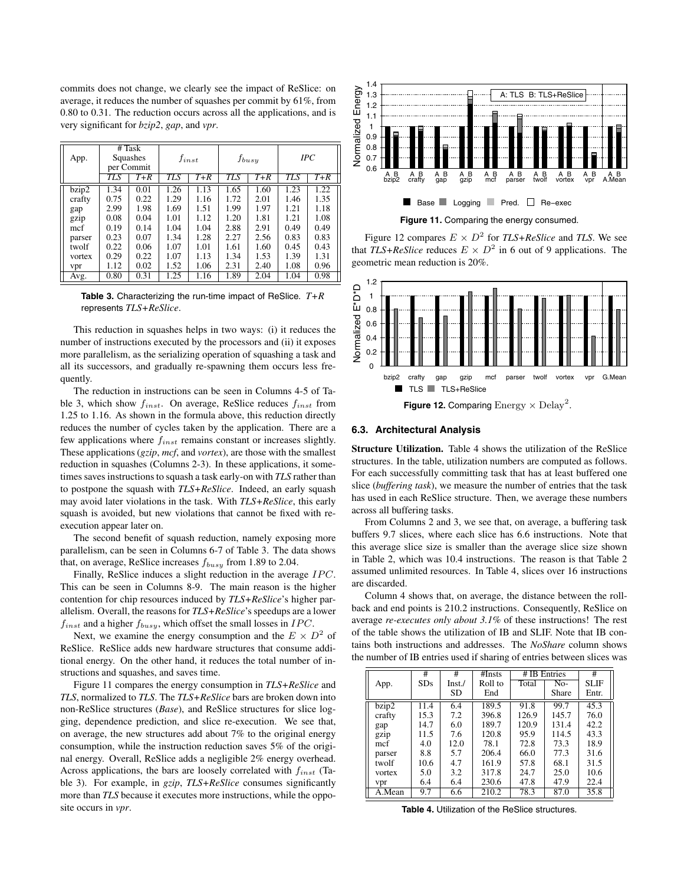commits does not change, we clearly see the impact of ReSlice: on average, it reduces the number of squashes per commit by 61%, from 0.80 to 0.31. The reduction occurs across all the applications, and is very significant for *bzip2*, *gap*, and *vpr*.

| App.   | # Task<br>Squashes<br>per Commit |      | $f_{inst}$ |       | $f_{busy}$ |         | <b>IPC</b> |      |
|--------|----------------------------------|------|------------|-------|------------|---------|------------|------|
|        | TLS                              | T+R  | TLS        | $T+R$ | TLS        | $T + R$ | TLS        | T+R  |
| bzip2  | 1.34                             | 0.01 | 1.26       | 1.13  | 1.65       | 1.60    | 1.23       | 1.22 |
| crafty | 0.75                             | 0.22 | 1.29       | 1.16  | 1.72       | 2.01    | 1.46       | 1.35 |
| gap    | 2.99                             | 1.98 | 1.69       | 1.51  | 1.99       | 1.97    | 1.21       | 1.18 |
| gzip   | 0.08                             | 0.04 | 1.01       | 1.12  | 1.20       | 1.81    | 1.21       | 1.08 |
| mcf    | 0.19                             | 0.14 | 1.04       | 1.04  | 2.88       | 2.91    | 0.49       | 0.49 |
| parser | 0.23                             | 0.07 | 1.34       | 1.28  | 2.27       | 2.56    | 0.83       | 0.83 |
| twolf  | 0.22                             | 0.06 | 1.07       | 1.01  | 1.61       | 1.60    | 0.45       | 0.43 |
| vortex | 0.29                             | 0.22 | 1.07       | 1.13  | 1.34       | 1.53    | 1.39       | 1.31 |
| vpr    | 1.12                             | 0.02 | 1.52       | 1.06  | 2.31       | 2.40    | 1.08       | 0.96 |
| Avg.   | 0.80                             | 0.31 | 1.25       | 1.16  | 1.89       | 2.04    | 1.04       | 0.98 |

**Table 3.** Characterizing the run-time impact of ReSlice. *T+R* represents *TLS+ReSlice*.

This reduction in squashes helps in two ways: (i) it reduces the number of instructions executed by the processors and (ii) it exposes more parallelism, as the serializing operation of squashing a task and all its successors, and gradually re-spawning them occurs less frequently.

The reduction in instructions can be seen in Columns 4-5 of Table 3, which show *finst*. On average, ReSlice reduces *finst* from 1.25 to 1.16. As shown in the formula above, this reduction directly reduces the number of cycles taken by the application. There are a few applications where *finst* remains constant or increases slightly. These applications (*gzip*, *mcf*, and *vortex*), are those with the smallest reduction in squashes (Columns 2-3). In these applications, it sometimes saves instructions to squash a task early-on with *TLS* rather than to postpone the squash with *TLS+ReSlice*. Indeed, an early squash may avoid later violations in the task. With *TLS+ReSlice*, this early squash is avoided, but new violations that cannot be fixed with reexecution appear later on.

The second benefit of squash reduction, namely exposing more parallelism, can be seen in Columns 6-7 of Table 3. The data shows that, on average, ReSlice increases *fbusy* from 1.89 to 2.04.

Finally, ReSlice induces a slight reduction in the average *IPC*. This can be seen in Columns 8-9. The main reason is the higher contention for chip resources induced by *TLS+ReSlice*'s higher parallelism. Overall, the reasons for *TLS+ReSlice*'s speedups are a lower *finst* and a higher *fbusy*, which offset the small losses in *IPC*.

Next, we examine the energy consumption and the  $E \times D^2$  of ReSlice. ReSlice adds new hardware structures that consume additional energy. On the other hand, it reduces the total number of instructions and squashes, and saves time.

Figure 11 compares the energy consumption in *TLS+ReSlice* and *TLS*, normalized to *TLS*. The *TLS+ReSlice* bars are broken down into non-ReSlice structures (*Base*), and ReSlice structures for slice logging, dependence prediction, and slice re-execution. We see that, on average, the new structures add about 7% to the original energy consumption, while the instruction reduction saves 5% of the original energy. Overall, ReSlice adds a negligible 2% energy overhead. Across applications, the bars are loosely correlated with *finst* (Table 3). For example, in *gzip*, *TLS+ReSlice* consumes significantly more than *TLS* because it executes more instructions, while the opposite occurs in *vpr*.



**Figure 11.** Comparing the energy consumed.

Figure 12 compares  $E \times D^2$  for *TLS+ReSlice* and *TLS*. We see that *TLS+ReSlice* reduces  $E \times D^2$  in 6 out of 9 applications. The geometric mean reduction is 20%.



**Figure 12.** Comparing  $Energy \times Delay^2$ .

#### **6.3. Architectural Analysis**

**Structure Utilization.** Table 4 shows the utilization of the ReSlice structures. In the table, utilization numbers are computed as follows. For each successfully committing task that has at least buffered one slice (*buffering task*), we measure the number of entries that the task has used in each ReSlice structure. Then, we average these numbers across all buffering tasks.

From Columns 2 and 3, we see that, on average, a buffering task buffers 9.7 slices, where each slice has 6.6 instructions. Note that this average slice size is smaller than the average slice size shown in Table 2, which was 10.4 instructions. The reason is that Table 2 assumed unlimited resources. In Table 4, slices over 16 instructions are discarded.

Column 4 shows that, on average, the distance between the rollback and end points is 210.2 instructions. Consequently, ReSlice on average *re-executes only about 3.1%* of these instructions! The rest of the table shows the utilization of IB and SLIF. Note that IB contains both instructions and addresses. The *NoShare* column shows the number of IB entries used if sharing of entries between slices was

|        | #    | #         | #Insts  | # IB Entries |       | #           |
|--------|------|-----------|---------|--------------|-------|-------------|
| App.   | SDs  | Inst.     | Roll to | Total        | $No-$ | <b>SLIF</b> |
|        |      | <b>SD</b> | End     |              | Share | Entr.       |
| bzip2  | 11.4 | 6.4       | 189.5   | 91.8         | 99.7  | 45.3        |
| crafty | 15.3 | 7.2       | 396.8   | 126.9        | 145.7 | 76.0        |
| gap    | 14.7 | 6.0       | 189.7   | 120.9        | 131.4 | 42.2        |
| gzip   | 11.5 | 7.6       | 120.8   | 95.9         | 114.5 | 43.3        |
| mcf    | 4.0  | 12.0      | 78.1    | 72.8         | 73.3  | 18.9        |
| parser | 8.8  | 5.7       | 206.4   | 66.0         | 77.3  | 31.6        |
| twolf  | 10.6 | 4.7       | 161.9   | 57.8         | 68.1  | 31.5        |
| vortex | 5.0  | 3.2       | 317.8   | 24.7         | 25.0  | 10.6        |
| vpr    | 6.4  | 6.4       | 230.6   | 47.8         | 47.9  | 22.4        |
| A.Mean | 9.7  | 6.6       | 210.2   | 78.3         | 87.0  | 35.8        |

**Table 4.** Utilization of the ReSlice structures.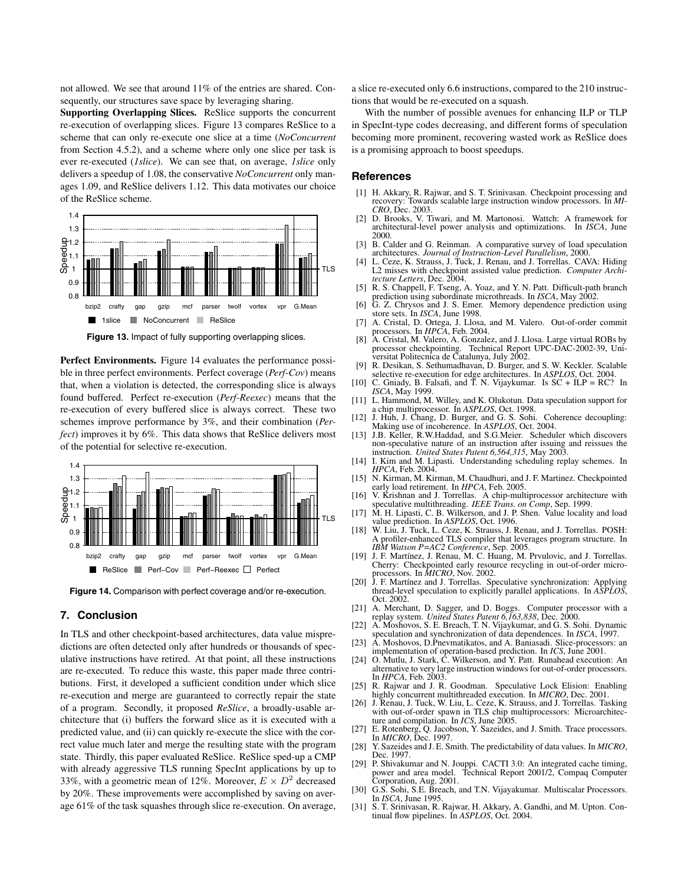not allowed. We see that around 11% of the entries are shared. Consequently, our structures save space by leveraging sharing.

**Supporting Overlapping Slices.** ReSlice supports the concurrent re-execution of overlapping slices. Figure 13 compares ReSlice to a scheme that can only re-execute one slice at a time (*NoConcurrent* from Section 4.5.2), and a scheme where only one slice per task is ever re-executed (*1slice*). We can see that, on average, *1slice* only delivers a speedup of 1.08, the conservative *NoConcurrent* only manages 1.09, and ReSlice delivers 1.12. This data motivates our choice of the ReSlice scheme.



**Figure 13.** Impact of fully supporting overlapping slices.

**Perfect Environments.** Figure 14 evaluates the performance possible in three perfect environments. Perfect coverage (*Perf-Cov*) means that, when a violation is detected, the corresponding slice is always found buffered. Perfect re-execution (*Perf-Reexec*) means that the re-execution of every buffered slice is always correct. These two schemes improve performance by 3%, and their combination (*Perfect*) improves it by 6%. This data shows that ReSlice delivers most of the potential for selective re-execution.



**Figure 14.** Comparison with perfect coverage and/or re-execution.

## **7. Conclusion**

In TLS and other checkpoint-based architectures, data value mispredictions are often detected only after hundreds or thousands of speculative instructions have retired. At that point, all these instructions are re-executed. To reduce this waste, this paper made three contributions. First, it developed a sufficient condition under which slice re-execution and merge are guaranteed to correctly repair the state of a program. Secondly, it proposed *ReSlice*, a broadly-usable architecture that (i) buffers the forward slice as it is executed with a predicted value, and (ii) can quickly re-execute the slice with the correct value much later and merge the resulting state with the program state. Thirdly, this paper evaluated ReSlice. ReSlice sped-up a CMP with already aggressive TLS running SpecInt applications by up to 33%, with a geometric mean of 12%. Moreover,  $E \times D^2$  decreased by 20%. These improvements were accomplished by saving on average 61% of the task squashes through slice re-execution. On average,

a slice re-executed only 6.6 instructions, compared to the 210 instructions that would be re-executed on a squash.

With the number of possible avenues for enhancing ILP or TLP in SpecInt-type codes decreasing, and different forms of speculation becoming more prominent, recovering wasted work as ReSlice does is a promising approach to boost speedups.

## **References**

- [1] H. Akkary, R. Rajwar, and S. T. Srinivasan. Checkpoint processing and recovery: Towards scalable large instruction window processors. In *MI-CRO*, Dec. 2003.
- [2] D. Brooks, V. Tiwari, and M. Martonosi. Wattch: A framework for architectural-level power analysis and optimizations. In *ISCA*, June 2000.
- [3] B. Calder and G. Reinman. A comparative survey of load speculation architectures. *Journal of Instruction-Level Parallelism*, 2000.
- [4] L. Ceze, K. Strauss, J. Tuck, J. Renau, and J. Torrellas. CAVA: Hiding L2 misses with checkpoint assisted value prediction. *Computer Architecture Letters*, Dec. 2004.
- [5] R. S. Chappell, F. Tseng, A. Yoaz, and Y. N. Patt. Difficult-path branch prediction using subordinate microthreads. In *ISCA*, May 2002.
- [6] G. Z. Chrysos and J. S. Emer. Memory dependence prediction using store sets. In *ISCA*, June 1998.
- [7] A. Cristal, D. Ortega, J. Llosa, and M. Valero. Out-of-order commit processors. In *HPCA*, Feb. 2004.
- [8] A. Cristal, M. Valero, A. Gonzalez, and J. Llosa. Large virtual ROBs by processor checkpointing. Technical Report UPC-DAC-2002-39, Uniprocessor checkpointing. Technical Report UPC-DAC-2002-39, Uni-versitat Politecnica de Catalunya, July 2002.
- [9] R. Desikan, S. Sethumadhavan, D. Burger, and S. W. Keckler. Scalable selective re-execution for edge architectures. In *ASPLOS*, Oct. 2004.
- [10] C. Gniady, B. Falsafi, and T. N. Vijaykumar. Is SC + ILP = RC? In *ISCA*, May 1999.
- [11] L. Hammond, M. Willey, and K. Olukotun. Data speculation support for a chip multiprocessor. In *ASPLOS*, Oct. 1998.
- [12] J. Huh, J. Chang, D. Burger, and G. S. Sohi. Coherence decoupling: Making use of incoherence. In *ASPLOS*, Oct. 2004.
- [13] J.B. Keller, R.W.Haddad, and S.G.Meier. Scheduler which discovers non-speculative nature of an instruction after issuing and reissues the instruction. *United States Patent 6,564,315*, May 2003.
- [14] I. Kim and M. Lipasti. Understanding scheduling replay schemes. In *HPCA*, Feb. 2004.
- [15] N. Kirman, M. Kirman, M. Chaudhuri, and J. F. Martinez. Checkpointed early load retirement. In *HPCA*, Feb. 2005.
- [16] V. Krishnan and J. Torrellas. A chip-multiprocessor architecture with speculative multithreading. *IEEE Trans. on Comp*, Sep. 1999.
- [17] M. H. Lipasti, C. B. Wilkerson, and J. P. Shen. Value locality and load value prediction. In *ASPLOS*, Oct. 1996.
- [18] W. Liu, J. Tuck, L. Ceze, K. Strauss, J. Renau, and J. Torrellas. POSH: A profiler-enhanced TLS compiler that leverages program structure. In *IBM Watson P=AC2 Conference*, Sep. 2005.
- [19] J. F. Martínez, J. Renau, M. C. Huang, M. Prvulovic, and J. Torrellas. Cherry: Checkpointed early resource recycling in out-of-order microprocessors. In *MICRO*, Nov. 2002.
- [20] J. F. Mart´ınez and J. Torrellas. Speculative synchronization: Applying thread-level speculation to explicitly parallel applications. In *ASPLOS*, Oct. 2002.
- [21] A. Merchant, D. Sagger, and D. Boggs. Computer processor with a replay system. *United States Patent 6,163,838*, Dec. 2000.
- [22] A. Moshovos, S. E. Breach, T. N. Vijaykumar, and G. S. Sohi. Dynamic speculation and synchronization of data dependences. In *ISCA*, 1997.
- [23] A. Moshovos, D.Pnevmatikatos, and A. Baniasadi. Slice-processors: an
- implementation of operation-based prediction. In *ICS*, June 2001.<br>[24] O. Mutlu, J. Stark, C. Wilkerson, and Y. Patt. Runahead execution: An alternative to very large instruction windows for out-of-order processors. In *HPCA*, Feb. 2003.
- [25] R. Rajwar and J. R. Goodman. Speculative Lock Elision: Enabling highly concurrent multithreaded execution. In *MICRO*, Dec. 2001.
- [26] J. Renau, J. Tuck, W. Liu, L. Ceze, K. Strauss, and J. Torrellas. Tasking with out-of-order spawn in TLS chip multiprocessors: Microarchitecture and compilation. In *ICS*, June 2005.
- [27] E. Rotenberg, Q. Jacobson, Y. Sazeides, and J. Smith. Trace processors. In *MICRO*, Dec. 1997.
- [28] Y. Sazeides and J. E. Smith. The predictability of data values. In *MICRO*, Dec. 1997.
- [29] P. Shivakumar and N. Jouppi. CACTI 3.0: An integrated cache timing, power and area model. Technical Report 2001/2, Compaq Computer Corporation, Aug. 2001.<br>G.S. Sohi, S.E. Breach,
- [30] G.S. Sohi, S.E. Breach, and T.N. Vijayakumar. Multiscalar Processors. In *ISCA*, June 1995.
- [31] S. T. Srinivasan, R. Rajwar, H. Akkary, A. Gandhi, and M. Upton. Continual flow pipelines. In *ASPLOS*, Oct. 2004.